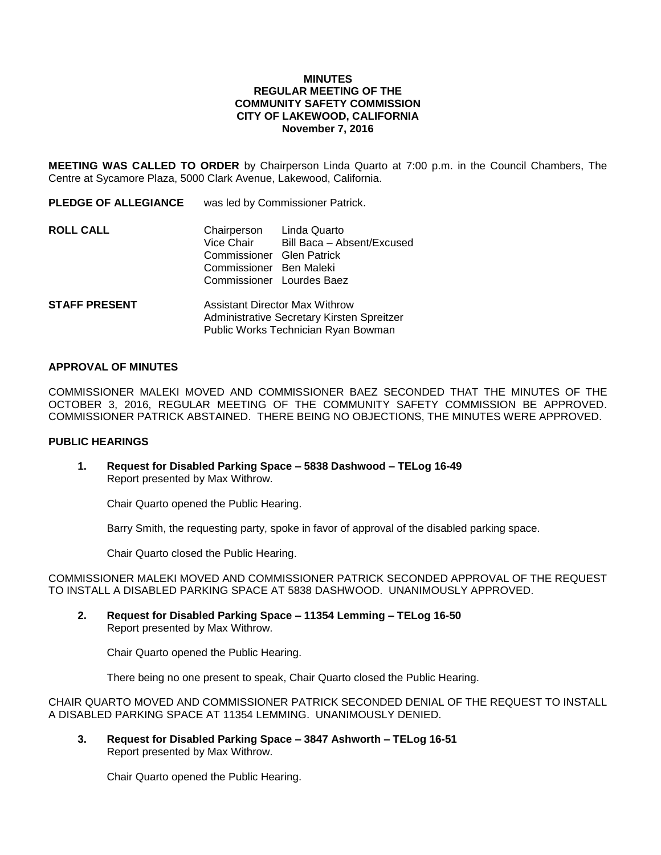#### **MINUTES REGULAR MEETING OF THE COMMUNITY SAFETY COMMISSION CITY OF LAKEWOOD, CALIFORNIA November 7, 2016**

**MEETING WAS CALLED TO ORDER** by Chairperson Linda Quarto at 7:00 p.m. in the Council Chambers, The Centre at Sycamore Plaza, 5000 Clark Avenue, Lakewood, California.

| <b>PLEDGE OF ALLEGIANCE</b> | was led by Commissioner Patrick.                                                                                            |                            |
|-----------------------------|-----------------------------------------------------------------------------------------------------------------------------|----------------------------|
| <b>ROLL CALL</b>            | Chairperson Linda Quarto<br>Vice Chair<br>Commissioner Glen Patrick<br>Commissioner Ben Maleki<br>Commissioner Lourdes Baez | Bill Baca - Absent/Excused |
| <b>STAFF PRESENT</b>        | Assistant Director Max Withrow<br>Administrative Secretary Kirsten Spreitzer                                                |                            |

# Public Works Technician Ryan Bowman

#### **APPROVAL OF MINUTES**

COMMISSIONER MALEKI MOVED AND COMMISSIONER BAEZ SECONDED THAT THE MINUTES OF THE OCTOBER 3, 2016, REGULAR MEETING OF THE COMMUNITY SAFETY COMMISSION BE APPROVED. COMMISSIONER PATRICK ABSTAINED. THERE BEING NO OBJECTIONS, THE MINUTES WERE APPROVED.

### **PUBLIC HEARINGS**

**1. Request for Disabled Parking Space – 5838 Dashwood – TELog 16-49** Report presented by Max Withrow.

Chair Quarto opened the Public Hearing.

Barry Smith, the requesting party, spoke in favor of approval of the disabled parking space.

Chair Quarto closed the Public Hearing.

COMMISSIONER MALEKI MOVED AND COMMISSIONER PATRICK SECONDED APPROVAL OF THE REQUEST TO INSTALL A DISABLED PARKING SPACE AT 5838 DASHWOOD. UNANIMOUSLY APPROVED.

**2. Request for Disabled Parking Space – 11354 Lemming – TELog 16-50** Report presented by Max Withrow.

Chair Quarto opened the Public Hearing.

There being no one present to speak, Chair Quarto closed the Public Hearing.

CHAIR QUARTO MOVED AND COMMISSIONER PATRICK SECONDED DENIAL OF THE REQUEST TO INSTALL A DISABLED PARKING SPACE AT 11354 LEMMING. UNANIMOUSLY DENIED.

**3. Request for Disabled Parking Space – 3847 Ashworth – TELog 16-51** Report presented by Max Withrow.

Chair Quarto opened the Public Hearing.